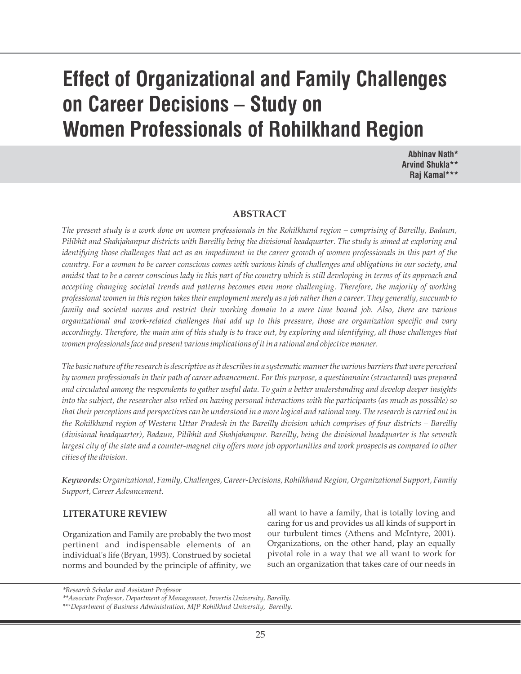# **Effect of Organizational and Family Challenges on Career Decisions – Study on Women Professionals of Rohilkhand Region**

**Abhinav Nath\* Arvind Shukla\*\* Raj Kamal\*\*\***

#### **ABSTRACT**

*The present study is a work done on women professionals in the Rohilkhand region – comprising of Bareilly, Badaun, Pilibhit and Shahjahanpur districts with Bareilly being the divisional headquarter. The study is aimed at exploring and identifying those challenges that act as an impediment in the career growth of women professionals in this part of the country. For a woman to be career conscious comes with various kinds of challenges and obligations in our society, and amidst that to be a career conscious lady in this part of the country which is still developing in terms of its approach and accepting changing societal trends and patterns becomes even more challenging. Therefore, the majority of working professional women in this region takes their employment merely as a job rather than a career. They generally, succumb to family and societal norms and restrict their working domain to a mere time bound job. Also, there are various organizational and work-related challenges that add up to this pressure, those are organization specific and vary accordingly. Therefore, the main aim of this study is to trace out, by exploring and identifying, all those challenges that women professionals face and present various implications of it in a rational and objective manner.* 

*The basic nature of the research is descriptive as it describes in a systematic manner the various barriers that were perceived by women professionals in their path of career advancement. For this purpose, a questionnaire (structured) was prepared and circulated among the respondents to gather useful data. To gain a better understanding and develop deeper insights into the subject, the researcher also relied on having personal interactions with the participants (as much as possible) so that their perceptions and perspectives can be understood in a more logical and rational way. The research is carried out in the Rohilkhand region of Western Uttar Pradesh in the Bareilly division which comprises of four districts – Bareilly (divisional headquarter), Badaun, Pilibhit and Shahjahanpur. Bareilly, being the divisional headquarter is the seventh largest city of the state and a counter-magnet city offers more job opportunities and work prospects as compared to other cities of the division.*

*Keywords: Organizational, Family, Challenges, Career-Decisions, Rohilkhand Region, Organizational Support, Family Support, Career Advancement.*

#### **LITERATURE REVIEW**

Organization and Family are probably the two most pertinent and indispensable elements of an individual's life (Bryan, 1993). Construed by societal norms and bounded by the principle of affinity, we

all want to have a family, that is totally loving and caring for us and provides us all kinds of support in our turbulent times (Athens and McIntyre, 2001). Organizations, on the other hand, play an equally pivotal role in a way that we all want to work for such an organization that takes care of our needs in

*<sup>\*</sup>Research Scholar and Assistant Professor*

*<sup>\*\*</sup>Associate Professor, Department of Management, Invertis University, Bareilly.*

*<sup>\*\*\*</sup>Department of Business Administration, MJP Rohilkhnd University, Bareilly.*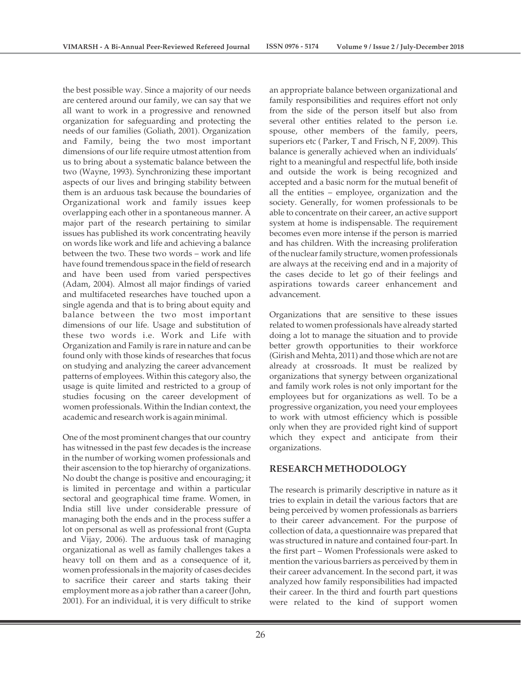the best possible way. Since a majority of our needs are centered around our family, we can say that we all want to work in a progressive and renowned organization for safeguarding and protecting the needs of our families (Goliath, 2001). Organization and Family, being the two most important dimensions of our life require utmost attention from us to bring about a systematic balance between the two (Wayne, 1993). Synchronizing these important aspects of our lives and bringing stability between them is an arduous task because the boundaries of Organizational work and family issues keep overlapping each other in a spontaneous manner. A major part of the research pertaining to similar issues has published its work concentrating heavily on words like work and life and achieving a balance between the two. These two words – work and life have found tremendous space in the field of research and have been used from varied perspectives (Adam, 2004). Almost all major findings of varied and multifaceted researches have touched upon a single agenda and that is to bring about equity and balance between the two most important dimensions of our life. Usage and substitution of these two words i.e. Work and Life with Organization and Family is rare in nature and can be found only with those kinds of researches that focus on studying and analyzing the career advancement patterns of employees. Within this category also, the usage is quite limited and restricted to a group of studies focusing on the career development of women professionals. Within the Indian context, the academic and research work is again minimal.

One of the most prominent changes that our country has witnessed in the past few decades is the increase in the number of working women professionals and their ascension to the top hierarchy of organizations. No doubt the change is positive and encouraging; it is limited in percentage and within a particular sectoral and geographical time frame. Women, in India still live under considerable pressure of managing both the ends and in the process suffer a lot on personal as well as professional front (Gupta and Vijay, 2006). The arduous task of managing organizational as well as family challenges takes a heavy toll on them and as a consequence of it, women professionals in the majority of cases decides to sacrifice their career and starts taking their employment more as a job rather than a career (John, 2001). For an individual, it is very difficult to strike

an appropriate balance between organizational and family responsibilities and requires effort not only from the side of the person itself but also from several other entities related to the person i.e. spouse, other members of the family, peers, superiors etc ( Parker, T and Frisch, N F, 2009). This balance is generally achieved when an individuals' right to a meaningful and respectful life, both inside and outside the work is being recognized and accepted and a basic norm for the mutual benefit of all the entities – employee, organization and the society. Generally, for women professionals to be able to concentrate on their career, an active support system at home is indispensable. The requirement becomes even more intense if the person is married and has children. With the increasing proliferation of the nuclear family structure, women professionals are always at the receiving end and in a majority of the cases decide to let go of their feelings and aspirations towards career enhancement and advancement.

Organizations that are sensitive to these issues related to women professionals have already started doing a lot to manage the situation and to provide better growth opportunities to their workforce (Girish and Mehta, 2011) and those which are not are already at crossroads. It must be realized by organizations that synergy between organizational and family work roles is not only important for the employees but for organizations as well. To be a progressive organization, you need your employees to work with utmost efficiency which is possible only when they are provided right kind of support which they expect and anticipate from their organizations.

## **RESEARCH METHODOLOGY**

The research is primarily descriptive in nature as it tries to explain in detail the various factors that are being perceived by women professionals as barriers to their career advancement. For the purpose of collection of data, a questionnaire was prepared that was structured in nature and contained four-part. In the first part – Women Professionals were asked to mention the various barriers as perceived by them in their career advancement. In the second part, it was analyzed how family responsibilities had impacted their career. In the third and fourth part questions were related to the kind of support women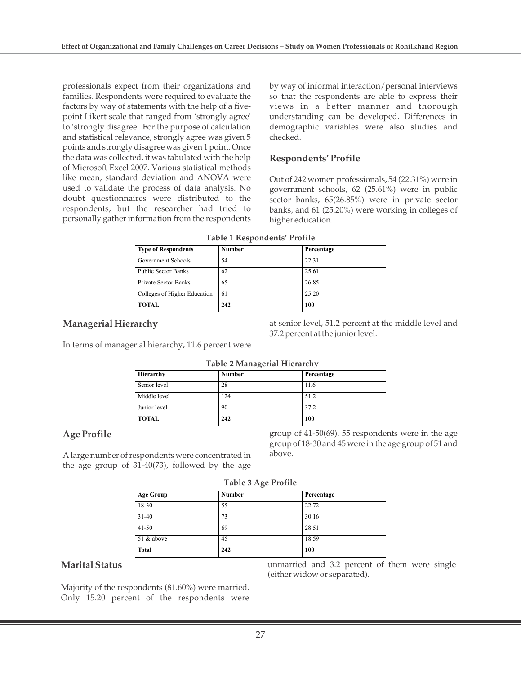professionals expect from their organizations and families. Respondents were required to evaluate the factors by way of statements with the help of a fivepoint Likert scale that ranged from 'strongly agree' to 'strongly disagree'. For the purpose of calculation and statistical relevance, strongly agree was given 5 points and strongly disagree was given 1 point. Once the data was collected, it was tabulated with the help of Microsoft Excel 2007. Various statistical methods like mean, standard deviation and ANOVA were used to validate the process of data analysis. No doubt questionnaires were distributed to the respondents, but the researcher had tried to personally gather information from the respondents by way of informal interaction/personal interviews so that the respondents are able to express their views in a better manner and thorough understanding can be developed. Differences in demographic variables were also studies and checked.

## **Respondents' Profile**

Out of 242 women professionals, 54 (22.31%) were in government schools, 62 (25.61%) were in public sector banks, 65(26.85%) were in private sector banks, and 61 (25.20%) were working in colleges of higher education.

| <b>Type of Respondents</b>   | Number | Percentage |  |
|------------------------------|--------|------------|--|
| Government Schools           | 54     | 22.31      |  |
| <b>Public Sector Banks</b>   | 62     | 25.61      |  |
| <b>Private Sector Banks</b>  | 65     | 26.85      |  |
| Colleges of Higher Education | 61     | 25.20      |  |
| <b>TOTAL</b>                 | 242    | 100        |  |

|  |  | Table 1 Respondents' Profile |  |
|--|--|------------------------------|--|
|  |  |                              |  |

## **Managerial Hierarchy**

at senior level, 51.2 percent at the middle level and 37.2 percent at the junior level.

In terms of managerial hierarchy, 11.6 percent were

| Table 2 Managerial Hierarchy |               |            |  |  |
|------------------------------|---------------|------------|--|--|
| Hierarchy                    | <b>Number</b> | Percentage |  |  |
| Senior level                 | 28            | 11.6       |  |  |
| Middle level                 | 124           | 51.2       |  |  |
| Junior level                 | 90            | 37.2       |  |  |
| <b>TOTAL</b>                 | 242           | 100        |  |  |

## **Age Profile**

A large number of respondents were concentrated in the age group of 31-40(73), followed by the age

group of 41-50(69). 55 respondents were in the age group of 18-30 and 45 were in the age group of 51 and above.

|  |  | Table 3 Age Profile |
|--|--|---------------------|
|--|--|---------------------|

| <b>Age Group</b> | $\sim$<br><b>Number</b><br>Percentage |       |  |  |  |  |  |
|------------------|---------------------------------------|-------|--|--|--|--|--|
|                  |                                       |       |  |  |  |  |  |
| 18-30            | 55                                    | 22.72 |  |  |  |  |  |
| $31 - 40$        | 73                                    | 30.16 |  |  |  |  |  |
| $41 - 50$        | 69                                    | 28.51 |  |  |  |  |  |
| 51 & above       | 45                                    | 18.59 |  |  |  |  |  |
| <b>Total</b>     | 242                                   | 100   |  |  |  |  |  |

## **Marital Status**

Majority of the respondents (81.60%) were married. Only 15.20 percent of the respondents were unmarried and 3.2 percent of them were single (either widow or separated).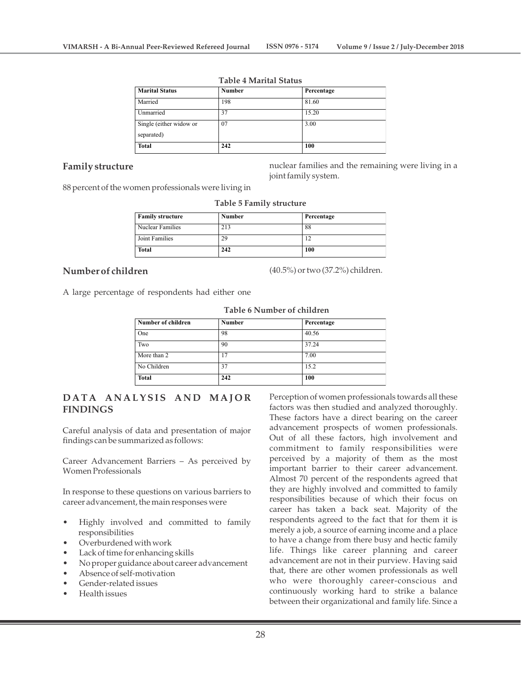| <b>Marital Status</b>   | <b>Number</b> | Percentage |
|-------------------------|---------------|------------|
| Married                 | 198           | 81.60      |
| Unmarried               | 37            | 15.20      |
| Single (either widow or | 07            | 3.00       |
| separated)              |               |            |
| <b>Total</b>            | 242           | 100        |

#### **Table 4 Marital Status**

## **Family structure**

nuclear families and the remaining were living in a joint family system.

88 percent of the women professionals were living in

| Table 5 Family structure |               |            |  |  |  |
|--------------------------|---------------|------------|--|--|--|
| <b>Family structure</b>  | <b>Number</b> | Percentage |  |  |  |
| Nuclear Families         | 213           | 88         |  |  |  |
| Joint Families           | 29            | 12         |  |  |  |
| Total                    | 242           | 100        |  |  |  |

## **Number of children**

(40.5%) or two (37.2%) children.

A large percentage of respondents had either one

| Number of children | <b>Number</b> | Percentage |
|--------------------|---------------|------------|
| One                | 98            | 40.56      |
| Two                | 90            | 37.24      |
| More than 2        | 17            | 7.00       |
| No Children        | 37            | 15.2       |
| <b>Total</b>       | 242           | 100        |

#### **Table 6 Number of children**

## **D ATA A N ALYSIS A N D MAJ O R FINDINGS**

Careful analysis of data and presentation of major findings can be summarized as follows:

Career Advancement Barriers – As perceived by Women Professionals

In response to these questions on various barriers to career advancement, the main responses were

- Highly involved and committed to family responsibilities
- Overburdened with work
- Lack of time for enhancing skills
- No proper guidance about career advancement
- Absence of self-motivation
- Gender-related issues
- Health issues

Perception of women professionals towards all these factors was then studied and analyzed thoroughly. These factors have a direct bearing on the career advancement prospects of women professionals. Out of all these factors, high involvement and commitment to family responsibilities were perceived by a majority of them as the most important barrier to their career advancement. Almost 70 percent of the respondents agreed that they are highly involved and committed to family responsibilities because of which their focus on career has taken a back seat. Majority of the respondents agreed to the fact that for them it is merely a job, a source of earning income and a place to have a change from there busy and hectic family life. Things like career planning and career advancement are not in their purview. Having said that, there are other women professionals as well who were thoroughly career-conscious and continuously working hard to strike a balance between their organizational and family life. Since a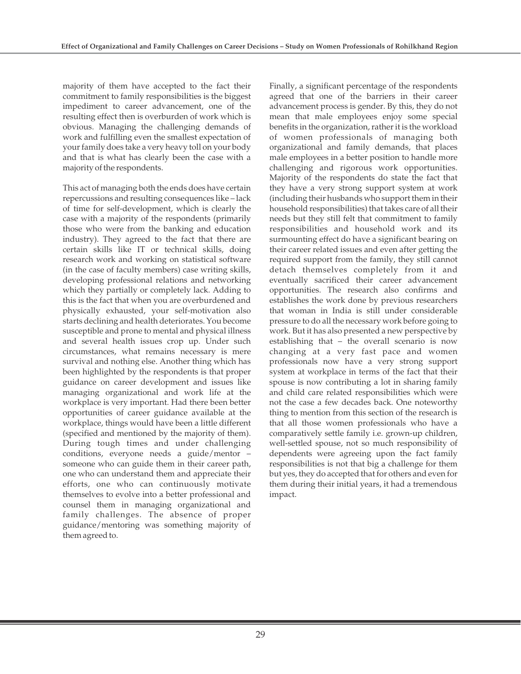majority of them have accepted to the fact their commitment to family responsibilities is the biggest impediment to career advancement, one of the resulting effect then is overburden of work which is obvious. Managing the challenging demands of work and fulfilling even the smallest expectation of your family does take a very heavy toll on your body and that is what has clearly been the case with a majority of the respondents.

This act of managing both the ends does have certain repercussions and resulting consequences like – lack of time for self-development, which is clearly the case with a majority of the respondents (primarily those who were from the banking and education industry). They agreed to the fact that there are certain skills like IT or technical skills, doing research work and working on statistical software (in the case of faculty members) case writing skills, developing professional relations and networking which they partially or completely lack. Adding to this is the fact that when you are overburdened and physically exhausted, your self-motivation also starts declining and health deteriorates. You become susceptible and prone to mental and physical illness and several health issues crop up. Under such circumstances, what remains necessary is mere survival and nothing else. Another thing which has been highlighted by the respondents is that proper guidance on career development and issues like managing organizational and work life at the workplace is very important. Had there been better opportunities of career guidance available at the workplace, things would have been a little different (specified and mentioned by the majority of them). During tough times and under challenging conditions, everyone needs a guide/mentor – someone who can guide them in their career path, one who can understand them and appreciate their efforts, one who can continuously motivate themselves to evolve into a better professional and counsel them in managing organizational and family challenges. The absence of proper guidance/mentoring was something majority of them agreed to.

Finally, a significant percentage of the respondents agreed that one of the barriers in their career advancement process is gender. By this, they do not mean that male employees enjoy some special benefits in the organization, rather it is the workload of women professionals of managing both organizational and family demands, that places male employees in a better position to handle more challenging and rigorous work opportunities. Majority of the respondents do state the fact that they have a very strong support system at work (including their husbands who support them in their household responsibilities) that takes care of all their needs but they still felt that commitment to family responsibilities and household work and its surmounting effect do have a significant bearing on their career related issues and even after getting the required support from the family, they still cannot detach themselves completely from it and eventually sacrificed their career advancement opportunities. The research also confirms and establishes the work done by previous researchers that woman in India is still under considerable pressure to do all the necessary work before going to work. But it has also presented a new perspective by establishing that – the overall scenario is now changing at a very fast pace and women professionals now have a very strong support system at workplace in terms of the fact that their spouse is now contributing a lot in sharing family and child care related responsibilities which were not the case a few decades back. One noteworthy thing to mention from this section of the research is that all those women professionals who have a comparatively settle family i.e. grown-up children, well-settled spouse, not so much responsibility of dependents were agreeing upon the fact family responsibilities is not that big a challenge for them but yes, they do accepted that for others and even for them during their initial years, it had a tremendous impact.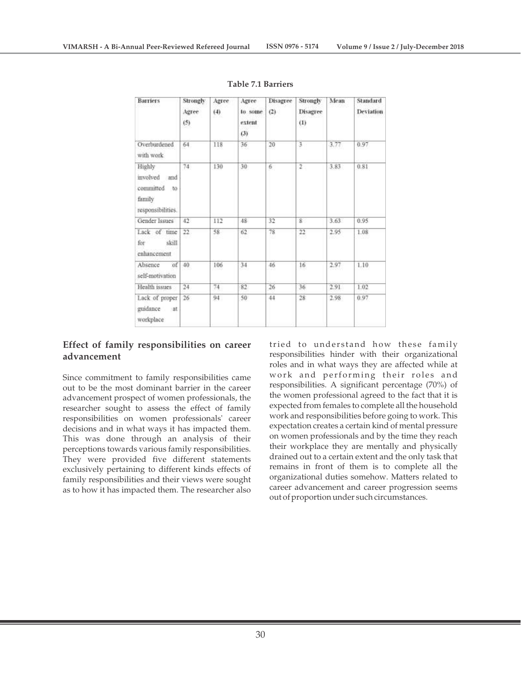| <b>Barriers</b>                                                             | Strongly<br>Agree<br>(5) | Agree<br>$^{(4)}$ | Agree<br>to some<br>extent<br>(3) | Disagree<br>(2) | Strongly<br>Disagree<br>(1) | Mean | Standard<br>Deviation |
|-----------------------------------------------------------------------------|--------------------------|-------------------|-----------------------------------|-----------------|-----------------------------|------|-----------------------|
| Overburdened<br>with work                                                   | 64                       | 118               | 36                                | 20              | 3                           | 3.77 | 0.97                  |
| Highly<br>involved and<br>committed<br>$-10$<br>family<br>responsibilities. | 74.                      | 130               | $30^{\circ}$                      | 6               | $\overline{2}$              | 3.83 | 0.81                  |
| Gender Issues                                                               | 42                       | 112               | 48                                | 32              | 8                           | 3.63 | 0.95                  |
| Lack of time<br>skill<br>for<br>enhancement                                 | 22.                      | 58                | 62                                | 78<br>157       | 22                          | 2.95 | 1.08                  |
| of<br>Absence<br>self-motivation                                            | 40                       | 106               | 34                                | 46              | 16 <sub>1</sub>             | 2.97 | 1.10                  |
| Health issues                                                               | $^{24}$                  | 74                | 82                                | 26              | 36                          | 2.91 | 1.02                  |
| Lack of proper<br>guidance at<br>workplace                                  | 26                       | 94                | 50                                | 44              | 28                          | 2.98 | 0.97                  |

#### **Table 7.1 Barriers**

## **Effect of family responsibilities on career advancement**

Since commitment to family responsibilities came out to be the most dominant barrier in the career advancement prospect of women professionals, the researcher sought to assess the effect of family responsibilities on women professionals' career decisions and in what ways it has impacted them. This was done through an analysis of their perceptions towards various family responsibilities. They were provided five different statements exclusively pertaining to different kinds effects of family responsibilities and their views were sought as to how it has impacted them. The researcher also tried to understand how these family responsibilities hinder with their organizational roles and in what ways they are affected while at work and performing their roles and responsibilities. A significant percentage (70%) of the women professional agreed to the fact that it is expected from females to complete all the household work and responsibilities before going to work. This expectation creates a certain kind of mental pressure on women professionals and by the time they reach their workplace they are mentally and physically drained out to a certain extent and the only task that remains in front of them is to complete all the organizational duties somehow. Matters related to career advancement and career progression seems out of proportion under such circumstances.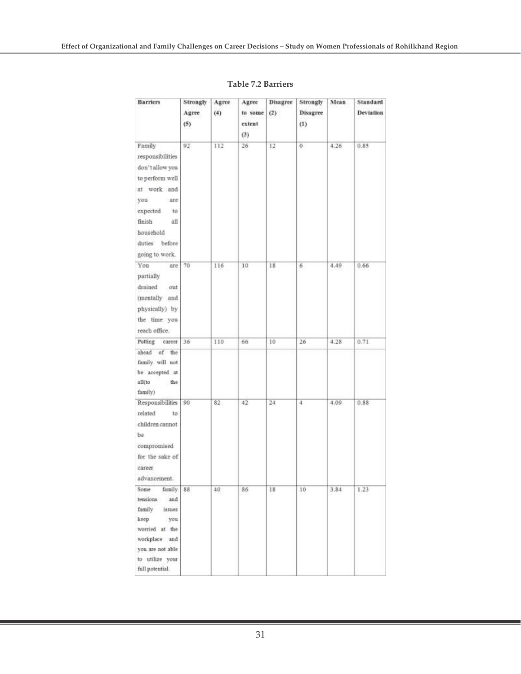| <b>Barriers</b>                                                                                                                                                      | Strongly<br>Agree<br>(5) | Agree<br>(4) | Agree<br>to some<br>extent<br>(3) | Disagree<br>(2) | Strongly<br>Disagree<br>(1) | Mean | Standard<br>Deviation |
|----------------------------------------------------------------------------------------------------------------------------------------------------------------------|--------------------------|--------------|-----------------------------------|-----------------|-----------------------------|------|-----------------------|
| Family<br>responsibilities<br>don't allow you<br>to perform well<br>at work and<br>are<br>you<br>expected to<br>finish<br>all<br>household<br>duties before          | 92                       | 112          | 26                                | 12              | Ü.                          | 4.26 | 0.85                  |
| going to work.<br>You<br>are<br>partially<br>drained<br>out<br>(mentally and<br>physically) by<br>the time you<br>reach office.                                      | 70                       | 116          | 10                                | 18              | 6                           | 4.49 | 0.66                  |
| career<br>Putting<br>ahead of the<br>family will not<br>be accepted at<br>all(to<br>the<br>family)                                                                   | 36                       | 110          | 66                                | 10              | 26                          | 4.28 | 0.71                  |
| Responsibilities<br>related<br>to:<br>children cannot<br>be.<br>compromised<br>for the sake of<br>career<br>advancement.                                             | $90^{\circ}$             | 82           | 42                                | 24              | 4                           | 4.09 | 0.88                  |
| Some<br>family 88<br>tensions<br>and<br>family<br>issues<br>keep<br>you<br>worried at the<br>workplace and<br>you are not able<br>to utilize your<br>full potential. |                          | 40           | 80                                | 18              | 10                          | 3,84 | 1,23                  |

#### **Table 7.2 Barriers**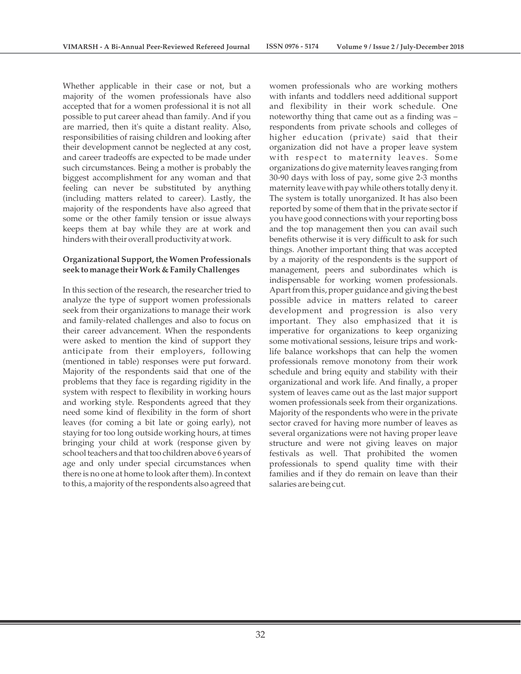Whether applicable in their case or not, but a majority of the women professionals have also accepted that for a women professional it is not all possible to put career ahead than family. And if you are married, then it's quite a distant reality. Also, responsibilities of raising children and looking after their development cannot be neglected at any cost, and career tradeoffs are expected to be made under such circumstances. Being a mother is probably the biggest accomplishment for any woman and that feeling can never be substituted by anything (including matters related to career). Lastly, the majority of the respondents have also agreed that some or the other family tension or issue always keeps them at bay while they are at work and hinders with their overall productivity at work.

#### **Organizational Support, the Women Professionals seek to manage their Work & Family Challenges**

In this section of the research, the researcher tried to analyze the type of support women professionals seek from their organizations to manage their work and family-related challenges and also to focus on their career advancement. When the respondents were asked to mention the kind of support they anticipate from their employers, following (mentioned in table) responses were put forward. Majority of the respondents said that one of the problems that they face is regarding rigidity in the system with respect to flexibility in working hours and working style. Respondents agreed that they need some kind of flexibility in the form of short leaves (for coming a bit late or going early), not staying for too long outside working hours, at times bringing your child at work (response given by school teachers and that too children above 6 years of age and only under special circumstances when there is no one at home to look after them). In context to this, a majority of the respondents also agreed that

women professionals who are working mothers with infants and toddlers need additional support and flexibility in their work schedule. One noteworthy thing that came out as a finding was – respondents from private schools and colleges of higher education (private) said that their organization did not have a proper leave system with respect to maternity leaves. Some organizations do give maternity leaves ranging from 30-90 days with loss of pay, some give 2-3 months maternity leave with pay while others totally deny it. The system is totally unorganized. It has also been reported by some of them that in the private sector if you have good connections with your reporting boss and the top management then you can avail such benefits otherwise it is very difficult to ask for such things. Another important thing that was accepted by a majority of the respondents is the support of management, peers and subordinates which is indispensable for working women professionals. Apart from this, proper guidance and giving the best possible advice in matters related to career development and progression is also very important. They also emphasized that it is imperative for organizations to keep organizing some motivational sessions, leisure trips and worklife balance workshops that can help the women professionals remove monotony from their work schedule and bring equity and stability with their organizational and work life. And finally, a proper system of leaves came out as the last major support women professionals seek from their organizations. Majority of the respondents who were in the private sector craved for having more number of leaves as several organizations were not having proper leave structure and were not giving leaves on major festivals as well. That prohibited the women professionals to spend quality time with their families and if they do remain on leave than their salaries are being cut.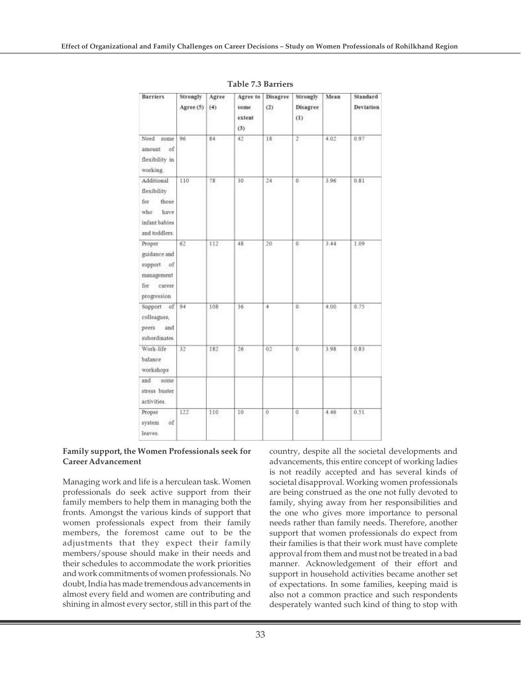| <b>Barriers</b>                                                                            | Strongly<br>Agree (5) | Agree<br>(4) | Agree to<br>some<br>extent<br>(3) | Disagree<br>(2)     | Strongly<br>Disagree<br>(1) | Mean | Standard<br><b>Deviation</b> |
|--------------------------------------------------------------------------------------------|-----------------------|--------------|-----------------------------------|---------------------|-----------------------------|------|------------------------------|
| Need<br>some<br>of<br>amount<br>flexibility in<br>working                                  | 96                    | 84           | 42                                | 18                  | $\overline{2}$              | 4.02 | 0.97                         |
| Additional<br>flexibility<br>for<br>those<br>have<br>who<br>infant babies<br>and toddlers. | 110                   | 78           | $30 -$                            | 24                  | O.                          | 3.96 | 0.81                         |
| Proper<br>guidance and<br>support of<br>management<br>for career<br>progression            | 62                    | 112          | 48                                | 20                  | ö.                          | 3.44 | 1.09                         |
| Support of<br>colleagues;<br>peers<br>and<br>subordinates.                                 | 94                    | 108          | 36                                | 4                   | 0                           | 4.00 | 0.75                         |
| Work-life<br>balance<br>workshops                                                          | 32                    | 182          | 26                                | $02 -$              | $\overline{0}$              | 3.98 | 0.83                         |
| and<br>some<br>stress buster<br>activities.                                                |                       |              |                                   |                     |                             |      |                              |
| Proper<br>system<br>of<br>leaves.                                                          | 122                   | 110          | 10                                | $\ddot{\mathbf{0}}$ | $^{\circ}$                  | 4.46 | 0.51                         |

**Table 7.3 Barriers**

#### **Family support, the Women Professionals seek for Career Advancement**

Managing work and life is a herculean task. Women professionals do seek active support from their family members to help them in managing both the fronts. Amongst the various kinds of support that women professionals expect from their family members, the foremost came out to be the adjustments that they expect their family members/spouse should make in their needs and their schedules to accommodate the work priorities and work commitments of women professionals. No doubt, India has made tremendous advancements in almost every field and women are contributing and shining in almost every sector, still in this part of the

country, despite all the societal developments and advancements, this entire concept of working ladies is not readily accepted and has several kinds of societal disapproval. Working women professionals are being construed as the one not fully devoted to family, shying away from her responsibilities and the one who gives more importance to personal needs rather than family needs. Therefore, another support that women professionals do expect from their families is that their work must have complete approval from them and must not be treated in a bad manner. Acknowledgement of their effort and support in household activities became another set of expectations. In some families, keeping maid is also not a common practice and such respondents desperately wanted such kind of thing to stop with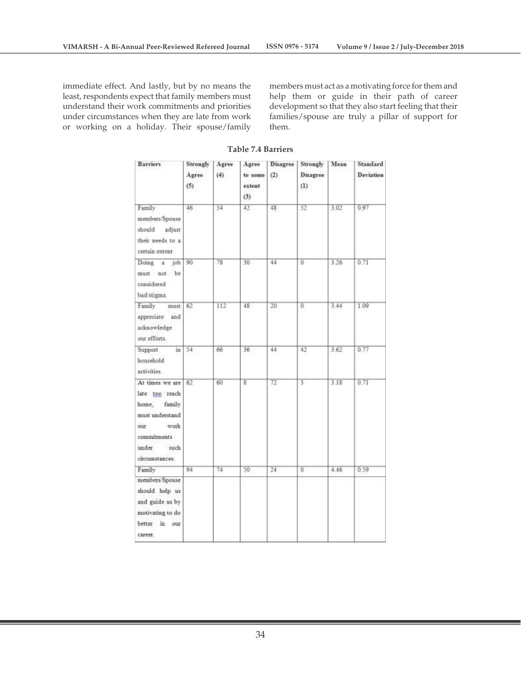immediate effect. And lastly, but by no means the least, respondents expect that family members must understand their work commitments and priorities under circumstances when they are late from work or working on a holiday. Their spouse/family

members must act as a motivating force for them and help them or guide in their path of career development so that they also start feeling that their families/spouse are truly a pillar of support for them.

| <b>Barriers</b>                                                                                                                       | Strongly<br>Agree<br>(5) | Agree<br>(4) | Agree<br>to some<br>extent<br>(3) | <b>Disagree</b><br>(2) | Strongly<br>Disagree<br>(1) | Mean | Standard<br>Deviation |
|---------------------------------------------------------------------------------------------------------------------------------------|--------------------------|--------------|-----------------------------------|------------------------|-----------------------------|------|-----------------------|
| Family<br>members/Spouse<br>should<br>adjust<br>their needs to a<br>certain extent                                                    | $46^{\circ}$             | 54           | 42                                | 48                     | 52                          | 3.02 | 0.97                  |
| Doing a<br>job<br>must not be<br>considered<br>bad stigma.                                                                            | 90                       | 78           | 30                                | 44:                    | Ü.                          | 3.26 | 0.71                  |
| Family<br>must<br>appreciate and<br>acknowledge<br>our efforts.                                                                       | 62                       | 112          | 48                                | 20                     | Ü.                          | 3.44 | 1.09                  |
| Support<br>in<br>household<br>activities                                                                                              | 54                       | 66           | 36                                | 44                     | 42                          | 3.62 | 0.77                  |
| At times we are<br>late too reach<br>home, family<br>must understand<br>work<br>our<br>commitments<br>under<br>such<br>circumstances. | 62                       | 60           | g                                 | 72                     | $\overline{3}$              | 3.18 | 0.71                  |
| Family                                                                                                                                | 94                       | 74           | 50                                | 24                     | $\overline{0}$              | 4.46 | 0.59                  |
| members/Spouse<br>should help us<br>and guide us by<br>motivating to do<br>better in our<br>career.                                   |                          |              |                                   |                        |                             |      |                       |

**Table 7.4 Barriers**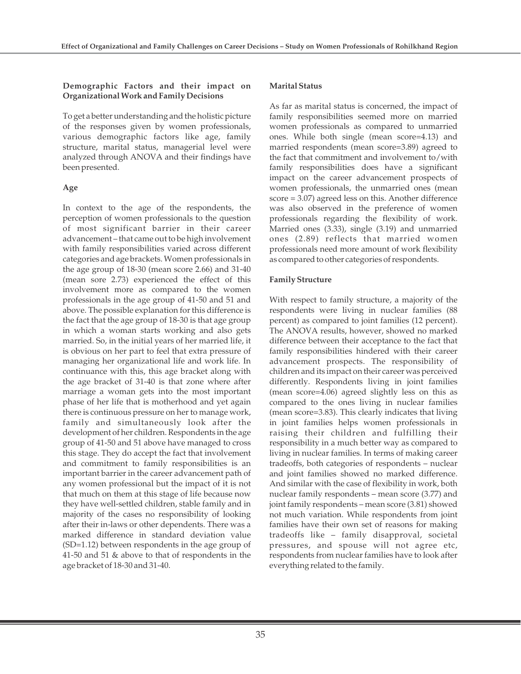#### **Demographic Factors and their impact on Organizational Work and Family Decisions**

To get a better understanding and the holistic picture of the responses given by women professionals, various demographic factors like age, family structure, marital status, managerial level were analyzed through ANOVA and their findings have been presented.

## **Age**

In context to the age of the respondents, the perception of women professionals to the question of most significant barrier in their career advancement – that came out to be high involvement with family responsibilities varied across different categories and age brackets. Women professionals in the age group of 18-30 (mean score 2.66) and 31-40 (mean sore 2.73) experienced the effect of this involvement more as compared to the women professionals in the age group of 41-50 and 51 and above. The possible explanation for this difference is the fact that the age group of 18-30 is that age group in which a woman starts working and also gets married. So, in the initial years of her married life, it is obvious on her part to feel that extra pressure of managing her organizational life and work life. In continuance with this, this age bracket along with the age bracket of 31-40 is that zone where after marriage a woman gets into the most important phase of her life that is motherhood and yet again there is continuous pressure on her to manage work, family and simultaneously look after the development of her children. Respondents in the age group of 41-50 and 51 above have managed to cross this stage. They do accept the fact that involvement and commitment to family responsibilities is an important barrier in the career advancement path of any women professional but the impact of it is not that much on them at this stage of life because now they have well-settled children, stable family and in majority of the cases no responsibility of looking after their in-laws or other dependents. There was a marked difference in standard deviation value (SD=1.12) between respondents in the age group of 41-50 and 51 & above to that of respondents in the age bracket of 18-30 and 31-40.

## **Marital Status**

As far as marital status is concerned, the impact of family responsibilities seemed more on married women professionals as compared to unmarried ones. While both single (mean score=4.13) and married respondents (mean score=3.89) agreed to the fact that commitment and involvement to/with family responsibilities does have a significant impact on the career advancement prospects of women professionals, the unmarried ones (mean score = 3.07) agreed less on this. Another difference was also observed in the preference of women professionals regarding the flexibility of work. Married ones (3.33), single (3.19) and unmarried ones (2.89) reflects that married women professionals need more amount of work flexibility as compared to other categories of respondents.

## **Family Structure**

With respect to family structure, a majority of the respondents were living in nuclear families (88 percent) as compared to joint families (12 percent). The ANOVA results, however, showed no marked difference between their acceptance to the fact that family responsibilities hindered with their career advancement prospects. The responsibility of children and its impact on their career was perceived differently. Respondents living in joint families (mean score=4.06) agreed slightly less on this as compared to the ones living in nuclear families (mean score=3.83). This clearly indicates that living in joint families helps women professionals in raising their children and fulfilling their responsibility in a much better way as compared to living in nuclear families. In terms of making career tradeoffs, both categories of respondents – nuclear and joint families showed no marked difference. And similar with the case of flexibility in work, both nuclear family respondents – mean score (3.77) and joint family respondents – mean score (3.81) showed not much variation. While respondents from joint families have their own set of reasons for making tradeoffs like – family disapproval, societal pressures, and spouse will not agree etc, respondents from nuclear families have to look after everything related to the family.